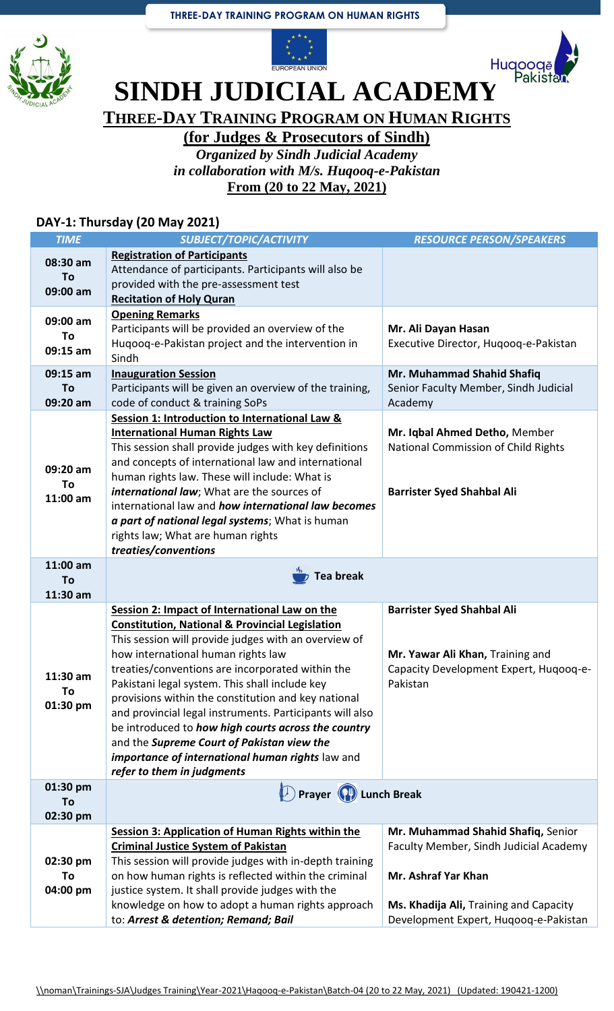





**SINDH JUDICIAL ACADEMY** 

**THREE-DAY TRAINING PROGRAM ON HUMAN RIGHTS**

**(for Judges & Prosecutors of Sindh)**

*Organized by Sindh Judicial Academy in collaboration with M/s. Huqooq-e-Pakistan* **From (20 to 22 May, 2021)**

## **DAY-1: Thursday (20 May 2021)**

| <b>TIME</b>                  | SUBJECT/TOPIC/ACTIVITY                                                                                                                                                                                                                                                                                                                                                                                                                                                                                                                                                                                                    | <b>RESOURCE PERSON/SPEAKERS</b>                                                                                             |
|------------------------------|---------------------------------------------------------------------------------------------------------------------------------------------------------------------------------------------------------------------------------------------------------------------------------------------------------------------------------------------------------------------------------------------------------------------------------------------------------------------------------------------------------------------------------------------------------------------------------------------------------------------------|-----------------------------------------------------------------------------------------------------------------------------|
| 08:30 am<br>To<br>09:00 am   | <b>Registration of Participants</b><br>Attendance of participants. Participants will also be<br>provided with the pre-assessment test<br><b>Recitation of Holy Quran</b>                                                                                                                                                                                                                                                                                                                                                                                                                                                  |                                                                                                                             |
| 09:00 am<br>To<br>09:15 am   | <b>Opening Remarks</b><br>Participants will be provided an overview of the<br>Hugoog-e-Pakistan project and the intervention in<br>Sindh                                                                                                                                                                                                                                                                                                                                                                                                                                                                                  | Mr. Ali Dayan Hasan<br>Executive Director, Hugoog-e-Pakistan                                                                |
| 09:15 am<br>To<br>09:20 am   | <b>Inauguration Session</b><br>Participants will be given an overview of the training,<br>code of conduct & training SoPs                                                                                                                                                                                                                                                                                                                                                                                                                                                                                                 | Mr. Muhammad Shahid Shafiq<br>Senior Faculty Member, Sindh Judicial<br>Academy                                              |
| 09:20 am<br>To<br>11:00 am   | Session 1: Introduction to International Law &<br><b>International Human Rights Law</b><br>This session shall provide judges with key definitions<br>and concepts of international law and international<br>human rights law. These will include: What is<br>international law; What are the sources of<br>international law and how international law becomes<br>a part of national legal systems; What is human<br>rights law; What are human rights<br>treaties/conventions                                                                                                                                            | Mr. Iqbal Ahmed Detho, Member<br>National Commission of Child Rights<br><b>Barrister Syed Shahbal Ali</b>                   |
| $11:00$ am<br>To<br>11:30 am | <b>Tea break</b>                                                                                                                                                                                                                                                                                                                                                                                                                                                                                                                                                                                                          |                                                                                                                             |
| $11:30$ am<br>To<br>01:30 pm | Session 2: Impact of International Law on the<br><b>Constitution, National &amp; Provincial Legislation</b><br>This session will provide judges with an overview of<br>how international human rights law<br>treaties/conventions are incorporated within the<br>Pakistani legal system. This shall include key<br>provisions within the constitution and key national<br>and provincial legal instruments. Participants will also<br>be introduced to how high courts across the country<br>and the Supreme Court of Pakistan view the<br>importance of international human rights law and<br>refer to them in judgments | <b>Barrister Syed Shahbal Ali</b><br>Mr. Yawar Ali Khan, Training and<br>Capacity Development Expert, Hugoog-e-<br>Pakistan |
| 01:30 pm<br>To<br>02:30 pm   | <b>Prayer</b> (P) Lunch Break                                                                                                                                                                                                                                                                                                                                                                                                                                                                                                                                                                                             |                                                                                                                             |
| 02:30 pm<br>To<br>04:00 pm   | <b>Session 3: Application of Human Rights within the</b><br><b>Criminal Justice System of Pakistan</b><br>This session will provide judges with in-depth training<br>on how human rights is reflected within the criminal<br>justice system. It shall provide judges with the                                                                                                                                                                                                                                                                                                                                             | Mr. Muhammad Shahid Shafiq, Senior<br>Faculty Member, Sindh Judicial Academy<br>Mr. Ashraf Yar Khan                         |
|                              | knowledge on how to adopt a human rights approach                                                                                                                                                                                                                                                                                                                                                                                                                                                                                                                                                                         | Ms. Khadija Ali, Training and Capacity                                                                                      |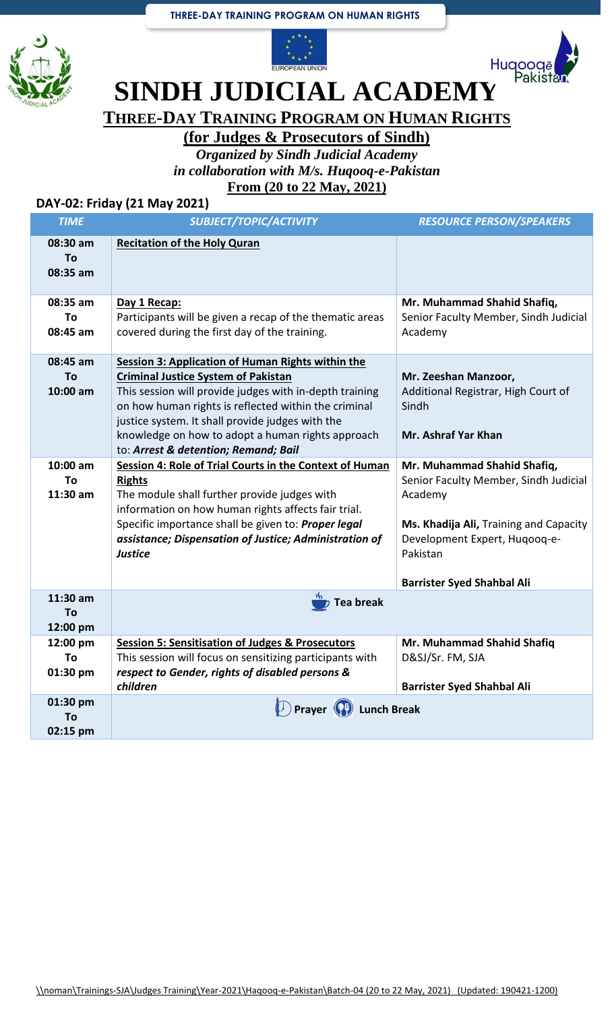## **THREE-DAY TRAINING PROGRAM ON HUMAN RIGHTS**







**SINDH JUDICIAL ACADEMY** 

**THREE-DAY TRAINING PROGRAM ON HUMAN RIGHTS**

**(for Judges & Prosecutors of Sindh)**

*Organized by Sindh Judicial Academy in collaboration with M/s. Huqooq-e-Pakistan* **From (20 to 22 May, 2021)**

## **DAY-02: Friday (21 May 2021)**

| <b>TIME</b>                  | SUBJECT/TOPIC/ACTIVITY                                                                                                                                                                                                                                                                                                                                                     | <b>RESOURCE PERSON/SPEAKERS</b>                                                                                                                                                                             |
|------------------------------|----------------------------------------------------------------------------------------------------------------------------------------------------------------------------------------------------------------------------------------------------------------------------------------------------------------------------------------------------------------------------|-------------------------------------------------------------------------------------------------------------------------------------------------------------------------------------------------------------|
| 08:30 am<br>To<br>08:35 am   | <b>Recitation of the Holy Quran</b>                                                                                                                                                                                                                                                                                                                                        |                                                                                                                                                                                                             |
| 08:35 am<br>To<br>08:45 am   | Day 1 Recap:<br>Participants will be given a recap of the thematic areas<br>covered during the first day of the training.                                                                                                                                                                                                                                                  | Mr. Muhammad Shahid Shafiq,<br>Senior Faculty Member, Sindh Judicial<br>Academy                                                                                                                             |
| 08:45 am<br>To<br>10:00 am   | <b>Session 3: Application of Human Rights within the</b><br><b>Criminal Justice System of Pakistan</b><br>This session will provide judges with in-depth training<br>on how human rights is reflected within the criminal<br>justice system. It shall provide judges with the<br>knowledge on how to adopt a human rights approach<br>to: Arrest & detention; Remand; Bail | Mr. Zeeshan Manzoor,<br>Additional Registrar, High Court of<br>Sindh<br>Mr. Ashraf Yar Khan                                                                                                                 |
| $10:00$ am<br>To<br>11:30 am | Session 4: Role of Trial Courts in the Context of Human<br><b>Rights</b><br>The module shall further provide judges with<br>information on how human rights affects fair trial.<br>Specific importance shall be given to: Proper legal<br>assistance; Dispensation of Justice; Administration of<br><b>Justice</b>                                                         | Mr. Muhammad Shahid Shafiq,<br>Senior Faculty Member, Sindh Judicial<br>Academy<br>Ms. Khadija Ali, Training and Capacity<br>Development Expert, Hugoog-e-<br>Pakistan<br><b>Barrister Syed Shahbal Ali</b> |
| 11:30 am<br>To<br>12:00 pm   | <b>Tea break</b>                                                                                                                                                                                                                                                                                                                                                           |                                                                                                                                                                                                             |
| 12:00 pm<br>To<br>01:30 pm   | <b>Session 5: Sensitisation of Judges &amp; Prosecutors</b><br>This session will focus on sensitizing participants with<br>respect to Gender, rights of disabled persons &<br>children                                                                                                                                                                                     | Mr. Muhammad Shahid Shafiq<br>D&SJ/Sr. FM, SJA<br><b>Barrister Syed Shahbal Ali</b>                                                                                                                         |
| 01:30 pm<br>To<br>02:15 pm   | Prayer (1) Lunch Break                                                                                                                                                                                                                                                                                                                                                     |                                                                                                                                                                                                             |